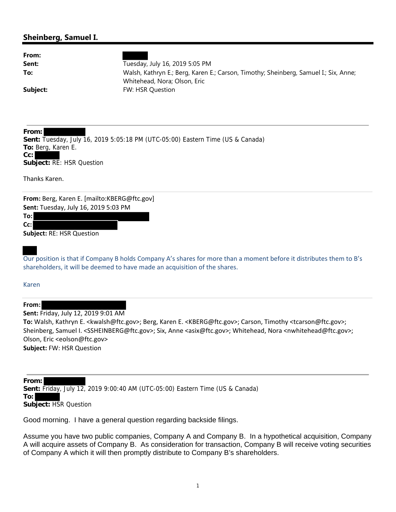## **Sheinberg, Samuel I.**

| From:<br>Sent:<br>To:                                                                                                                     | Tuesday, July 16, 2019 5:05 PM<br>Walsh, Kathryn E.; Berg, Karen E.; Carson, Timothy; Sheinberg, Samuel I.; Six, Anne;<br>Whitehead, Nora; Olson, Eric |
|-------------------------------------------------------------------------------------------------------------------------------------------|--------------------------------------------------------------------------------------------------------------------------------------------------------|
| Subject:                                                                                                                                  | FW: HSR Question                                                                                                                                       |
|                                                                                                                                           |                                                                                                                                                        |
| From:<br>To: Berg, Karen E.<br>Cc:<br>Subject: RE: HSR Question<br>Thanks Karen.                                                          | Sent: Tuesday, July 16, 2019 5:05:18 PM (UTC-05:00) Eastern Time (US & Canada)                                                                         |
| From: Berg, Karen E. [mailto:KBERG@ftc.gov]<br>Sent: Tuesday, July 16, 2019 5:03 PM<br>To:l<br>$Cc$ :<br><b>Subject: RE: HSR Question</b> |                                                                                                                                                        |
|                                                                                                                                           | Our position is that if Company B holds Company A's shares for more than a moment before it distributes them to B's                                    |

Our position is that if Company B holds Company A's shares for more than a moment before it distributes them to B's shareholders, it will be deemed to have made an acquisition of the shares.

Karen

**From:**

**Sent:** Friday, July 12, 2019 9:01 AM

**To:** Walsh, Kathryn E. <kwalsh@ftc.gov>; Berg, Karen E. <KBERG@ftc.gov>; Carson, Timothy <tcarson@ftc.gov>; Sheinberg, Samuel I. <SSHEINBERG@ftc.gov>; Six, Anne <asix@ftc.gov>; Whitehead, Nora <nwhitehead@ftc.gov>; Olson, Eric <eolson@ftc.gov> **Subject:** FW: HSR Question

**From: Sent:** Friday, July 12, 2019 9:00:40 AM (UTC-05:00) Eastern Time (US & Canada) **To: Subject:** HSR Question

Good morning. I have a general question regarding backside filings.

Assume you have two public companies, Company A and Company B. In a hypothetical acquisition, Company A will acquire assets of Company B. As consideration for transaction, Company B will receive voting securities of Company A which it will then promptly distribute to Company B's shareholders.